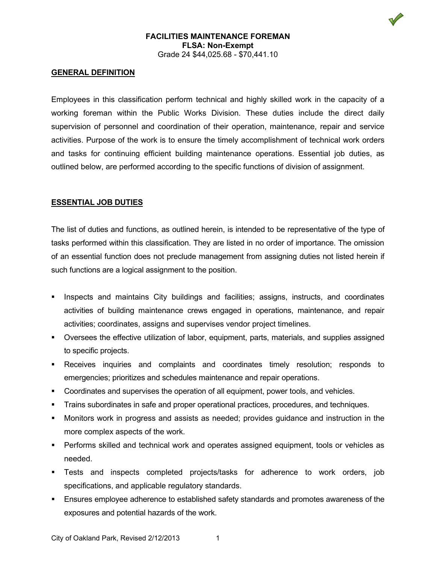

#### **FACILITIES MAINTENANCE FOREMAN FLSA: Non-Exempt** Grade 24 \$44,025.68 - \$70,441.10

### **GENERAL DEFINITION**

Employees in this classification perform technical and highly skilled work in the capacity of a working foreman within the Public Works Division. These duties include the direct daily supervision of personnel and coordination of their operation, maintenance, repair and service activities. Purpose of the work is to ensure the timely accomplishment of technical work orders and tasks for continuing efficient building maintenance operations. Essential job duties, as outlined below, are performed according to the specific functions of division of assignment.

### **ESSENTIAL JOB DUTIES**

The list of duties and functions, as outlined herein, is intended to be representative of the type of tasks performed within this classification. They are listed in no order of importance. The omission of an essential function does not preclude management from assigning duties not listed herein if such functions are a logical assignment to the position.

- Inspects and maintains City buildings and facilities; assigns, instructs, and coordinates activities of building maintenance crews engaged in operations, maintenance, and repair activities; coordinates, assigns and supervises vendor project timelines.
- Oversees the effective utilization of labor, equipment, parts, materials, and supplies assigned to specific projects.
- Receives inquiries and complaints and coordinates timely resolution; responds to emergencies; prioritizes and schedules maintenance and repair operations.
- Coordinates and supervises the operation of all equipment, power tools, and vehicles.
- **Trains subordinates in safe and proper operational practices, procedures, and techniques.**
- Monitors work in progress and assists as needed; provides guidance and instruction in the more complex aspects of the work.
- **Performs skilled and technical work and operates assigned equipment, tools or vehicles as** needed.
- Tests and inspects completed projects/tasks for adherence to work orders, job specifications, and applicable regulatory standards.
- Ensures employee adherence to established safety standards and promotes awareness of the exposures and potential hazards of the work.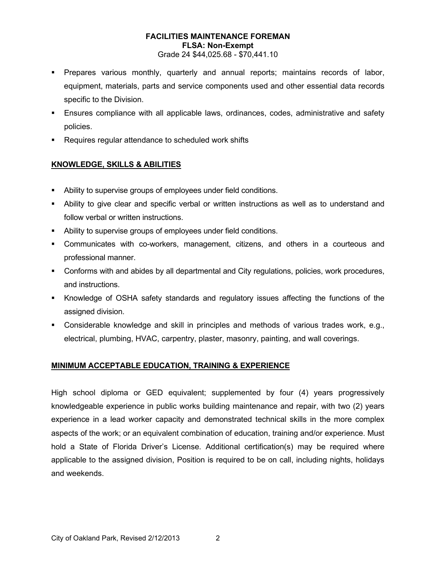## **FACILITIES MAINTENANCE FOREMAN FLSA: Non-Exempt**

Grade 24 \$44,025.68 - \$70,441.10

- Prepares various monthly, quarterly and annual reports; maintains records of labor, equipment, materials, parts and service components used and other essential data records specific to the Division.
- Ensures compliance with all applicable laws, ordinances, codes, administrative and safety policies.
- **Requires regular attendance to scheduled work shifts**

## **KNOWLEDGE, SKILLS & ABILITIES**

- Ability to supervise groups of employees under field conditions.
- Ability to give clear and specific verbal or written instructions as well as to understand and follow verbal or written instructions.
- Ability to supervise groups of employees under field conditions.
- Communicates with co-workers, management, citizens, and others in a courteous and professional manner.
- Conforms with and abides by all departmental and City regulations, policies, work procedures, and instructions.
- Knowledge of OSHA safety standards and regulatory issues affecting the functions of the assigned division.
- Considerable knowledge and skill in principles and methods of various trades work, e.g., electrical, plumbing, HVAC, carpentry, plaster, masonry, painting, and wall coverings.

## **MINIMUM ACCEPTABLE EDUCATION, TRAINING & EXPERIENCE**

High school diploma or GED equivalent; supplemented by four (4) years progressively knowledgeable experience in public works building maintenance and repair, with two (2) years experience in a lead worker capacity and demonstrated technical skills in the more complex aspects of the work; or an equivalent combination of education, training and/or experience. Must hold a State of Florida Driver's License. Additional certification(s) may be required where applicable to the assigned division, Position is required to be on call, including nights, holidays and weekends.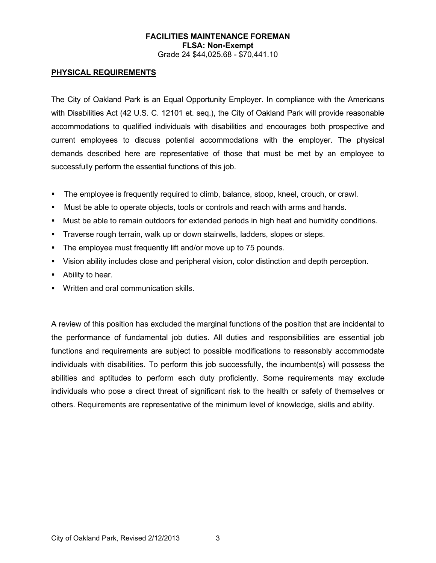# **FACILITIES MAINTENANCE FOREMAN FLSA: Non-Exempt**

Grade 24 \$44,025.68 - \$70,441.10

## **PHYSICAL REQUIREMENTS**

The City of Oakland Park is an Equal Opportunity Employer. In compliance with the Americans with Disabilities Act (42 U.S. C. 12101 et. seq.), the City of Oakland Park will provide reasonable accommodations to qualified individuals with disabilities and encourages both prospective and current employees to discuss potential accommodations with the employer. The physical demands described here are representative of those that must be met by an employee to successfully perform the essential functions of this job.

- The employee is frequently required to climb, balance, stoop, kneel, crouch, or crawl.
- Must be able to operate objects, tools or controls and reach with arms and hands.
- Must be able to remain outdoors for extended periods in high heat and humidity conditions.
- Traverse rough terrain, walk up or down stairwells, ladders, slopes or steps.
- The employee must frequently lift and/or move up to 75 pounds.
- Vision ability includes close and peripheral vision, color distinction and depth perception.
- Ability to hear.
- Written and oral communication skills.

A review of this position has excluded the marginal functions of the position that are incidental to the performance of fundamental job duties. All duties and responsibilities are essential job functions and requirements are subject to possible modifications to reasonably accommodate individuals with disabilities. To perform this job successfully, the incumbent(s) will possess the abilities and aptitudes to perform each duty proficiently. Some requirements may exclude individuals who pose a direct threat of significant risk to the health or safety of themselves or others. Requirements are representative of the minimum level of knowledge, skills and ability.